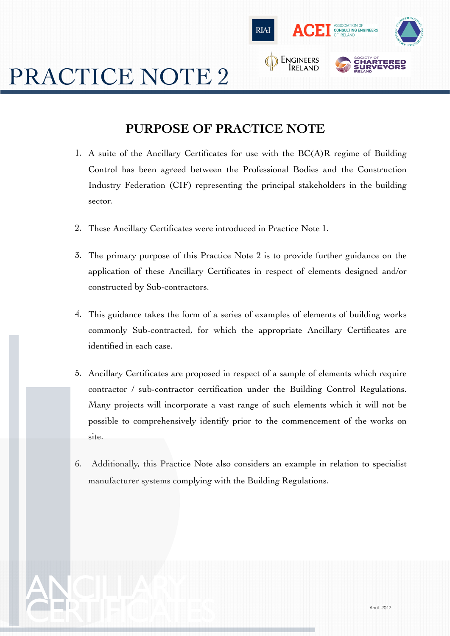

# PRACTICE NOTE 2

ANCILLARY

## **PURPOSE OF PRACTICE NOTE**

- 1. A suite of the Ancillary Certificates for use with the BC(A)R regime of Building Control has been agreed between the Professional Bodies and the Construction Industry Federation (CIF) representing the principal stakeholders in the building sector.
- 2. These Ancillary Certificates were introduced in Practice Note 1.
- 3. The primary purpose of this Practice Note 2 is to provide further guidance on the application of these Ancillary Certificates in respect of elements designed and/or constructed by Sub-contractors.
- 4. This guidance takes the form of a series of examples of elements of building works commonly Sub-contracted, for which the appropriate Ancillary Certificates are identified in each case.
- 5. Ancillary Certificates are proposed in respect of a sample of elements which require contractor / sub-contractor certification under the Building Control Regulations. Many projects will incorporate a vast range of such elements which it will not be possible to comprehensively identify prior to the commencement of the works on site.
- 6. Additionally, this Practice Note also considers an example in relation to specialist manufacturer systems complying with the Building Regulations.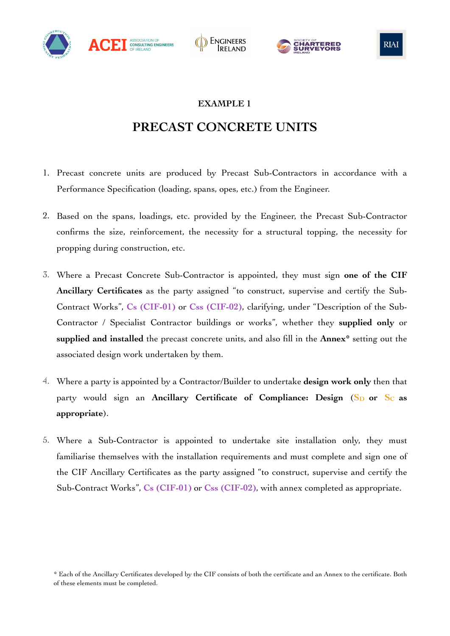







## **PRECAST CONCRETE UNITS**

- 1. Precast concrete units are produced by Precast Sub-Contractors in accordance with a Performance Specification (loading, spans, opes, etc.) from the Engineer.
- 2. Based on the spans, loadings, etc. provided by the Engineer, the Precast Sub-Contractor confirms the size, reinforcement, the necessity for a structural topping, the necessity for propping during construction, etc.
- 3. Where a Precast Concrete Sub-Contractor is appointed, they must sign **one of the CIF Ancillary Certificates** as the party assigned "to construct, supervise and certify the Sub-Contract Works", **Cs (CIF-01)** or **Css (CIF-02)**, clarifying, under "Description of the Sub-Contractor / Specialist Contractor buildings or works", whether they **supplied only** or **supplied and installed** the precast concrete units, and also fill in the **Annex\*** setting out the associated design work undertaken by them.
- 4. Where a party is appointed by a Contractor/Builder to undertake **design work only** then that party would sign an Ancillary Certificate of Compliance: Design (S<sub>D</sub> or S<sub>C</sub> as **appropriate**).
- 5. Where a Sub-Contractor is appointed to undertake site installation only, they must familiarise themselves with the installation requirements and must complete and sign one of the CIF Ancillary Certificates as the party assigned "to construct, supervise and certify the Sub-Contract Works", **Cs (CIF-01)** or **Css (CIF-02)**, with annex completed as appropriate.

<sup>\*</sup> Each of the Ancillary Certificates developed by the CIF consists of both the certificate and an Annex to the certificate. Both of these elements must be completed.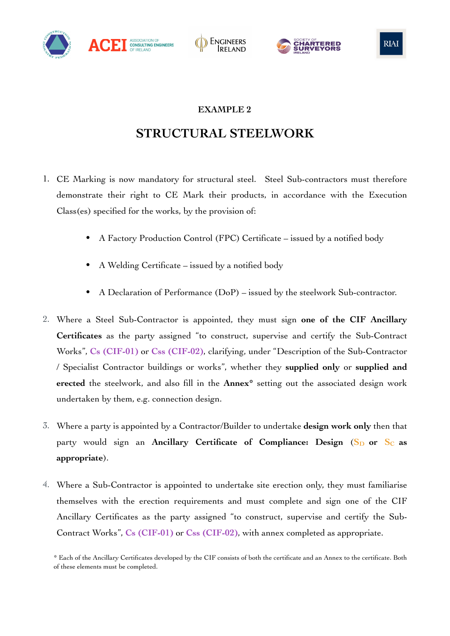







## **STRUCTURAL STEELWORK**

- 1. CE Marking is now mandatory for structural steel. Steel Sub-contractors must therefore demonstrate their right to CE Mark their products, in accordance with the Execution Class(es) specified for the works, by the provision of:
	- A Factory Production Control (FPC) Certificate issued by a notified body
	- A Welding Certificate issued by a notified body
	- A Declaration of Performance (DoP) issued by the steelwork Sub-contractor.
- 2. Where a Steel Sub-Contractor is appointed, they must sign **one of the CIF Ancillary Certificates** as the party assigned "to construct, supervise and certify the Sub-Contract Works", **Cs (CIF-01)** or **Css (CIF-02)**, clarifying, under "Description of the Sub-Contractor / Specialist Contractor buildings or works", whether they **supplied only** or **supplied and erected** the steelwork, and also fill in the **Annex\*** setting out the associated design work undertaken by them, e.g. connection design.
- 3. Where a party is appointed by a Contractor/Builder to undertake **design work only** then that party would sign an Ancillary Certificate of Compliance: Design (S<sub>D</sub> or S<sub>C</sub> as **appropriate**).
- 4. Where a Sub-Contractor is appointed to undertake site erection only, they must familiarise themselves with the erection requirements and must complete and sign one of the CIF Ancillary Certificates as the party assigned "to construct, supervise and certify the Sub-Contract Works", **Cs (CIF-01)** or **Css (CIF-02)**, with annex completed as appropriate.

<sup>\*</sup> Each of the Ancillary Certificates developed by the CIF consists of both the certificate and an Annex to the certificate. Both of these elements must be completed.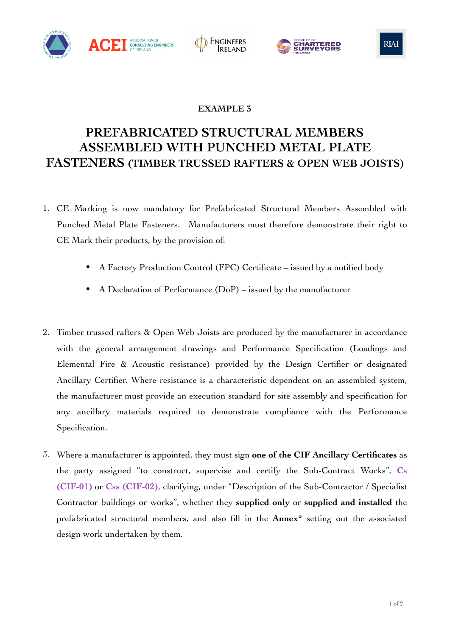







# **PREFABRICATED STRUCTURAL MEMBERS ASSEMBLED WITH PUNCHED METAL PLATE FASTENERS (TIMBER TRUSSED RAFTERS & OPEN WEB JOISTS)**

- 1. CE Marking is now mandatory for Prefabricated Structural Members Assembled with Punched Metal Plate Fasteners. Manufacturers must therefore demonstrate their right to CE Mark their products, by the provision of:
	- A Factory Production Control (FPC) Certificate issued by a notified body
	- A Declaration of Performance (DoP) issued by the manufacturer
- 2. Timber trussed rafters & Open Web Joists are produced by the manufacturer in accordance with the general arrangement drawings and Performance Specification (Loadings and Elemental Fire & Acoustic resistance) provided by the Design Certifier or designated Ancillary Certifier. Where resistance is a characteristic dependent on an assembled system, the manufacturer must provide an execution standard for site assembly and specification for any ancillary materials required to demonstrate compliance with the Performance Specification.
- 3. Where a manufacturer is appointed, they must sign **one of the CIF Ancillary Certificates** as the party assigned "to construct, supervise and certify the Sub-Contract Works", **Cs (CIF-01)** or **Css (CIF-02)**, clarifying, under "Description of the Sub-Contractor / Specialist Contractor buildings or works", whether they **supplied only** or **supplied and installed** the prefabricated structural members, and also fill in the **Annex\*** setting out the associated design work undertaken by them.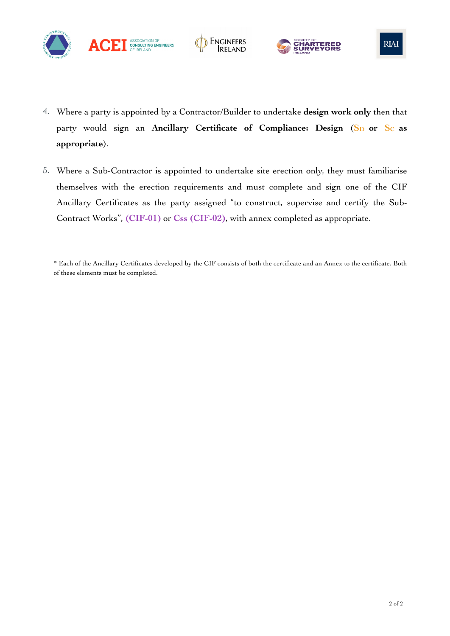





- 4. Where a party is appointed by a Contractor/Builder to undertake **design work only** then that party would sign an Ancillary Certificate of Compliance: Design (S<sub>D</sub> or S<sub>C</sub> as **appropriate**).
- 5. Where a Sub-Contractor is appointed to undertake site erection only, they must familiarise themselves with the erection requirements and must complete and sign one of the CIF Ancillary Certificates as the party assigned "to construct, supervise and certify the Sub-Contract Works", **(CIF-01)** or **Css (CIF-02)**, with annex completed as appropriate.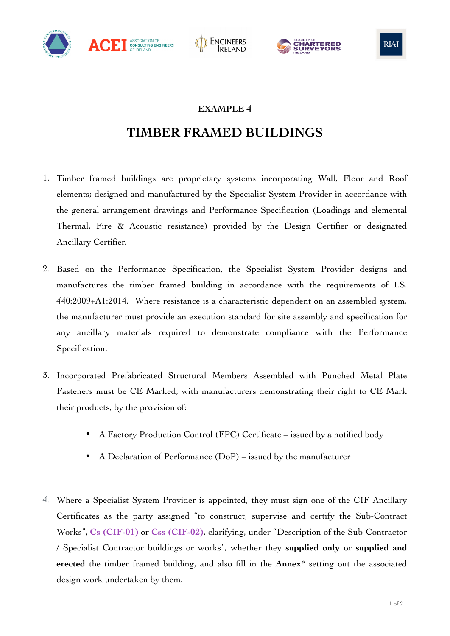







## **TIMBER FRAMED BUILDINGS**

- 1. Timber framed buildings are proprietary systems incorporating Wall, Floor and Roof elements; designed and manufactured by the Specialist System Provider in accordance with the general arrangement drawings and Performance Specification (Loadings and elemental Thermal, Fire & Acoustic resistance) provided by the Design Certifier or designated Ancillary Certifier.
- 2. Based on the Performance Specification, the Specialist System Provider designs and manufactures the timber framed building in accordance with the requirements of I.S. 440:2009+A1:2014. Where resistance is a characteristic dependent on an assembled system, the manufacturer must provide an execution standard for site assembly and specification for any ancillary materials required to demonstrate compliance with the Performance Specification.
- 3. Incorporated Prefabricated Structural Members Assembled with Punched Metal Plate Fasteners must be CE Marked, with manufacturers demonstrating their right to CE Mark their products, by the provision of:
	- A Factory Production Control (FPC) Certificate issued by a notified body
	- A Declaration of Performance (DoP) issued by the manufacturer
- 4. Where a Specialist System Provider is appointed, they must sign one of the CIF Ancillary Certificates as the party assigned "to construct, supervise and certify the Sub-Contract Works", **Cs (CIF-01)** or **Css (CIF-02)**, clarifying, under "Description of the Sub-Contractor / Specialist Contractor buildings or works", whether they **supplied only** or **supplied and erected** the timber framed building, and also fill in the **Annex\*** setting out the associated design work undertaken by them.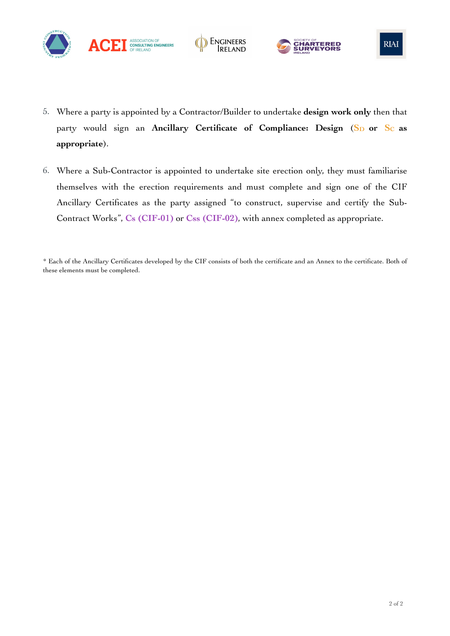





- 5. Where a party is appointed by a Contractor/Builder to undertake **design work only** then that party would sign an Ancillary Certificate of Compliance: Design (S<sub>D</sub> or S<sub>C</sub> as **appropriate**).
- 6. Where a Sub-Contractor is appointed to undertake site erection only, they must familiarise themselves with the erection requirements and must complete and sign one of the CIF Ancillary Certificates as the party assigned "to construct, supervise and certify the Sub-Contract Works", **Cs (CIF-01)** or **Css (CIF-02)**, with annex completed as appropriate.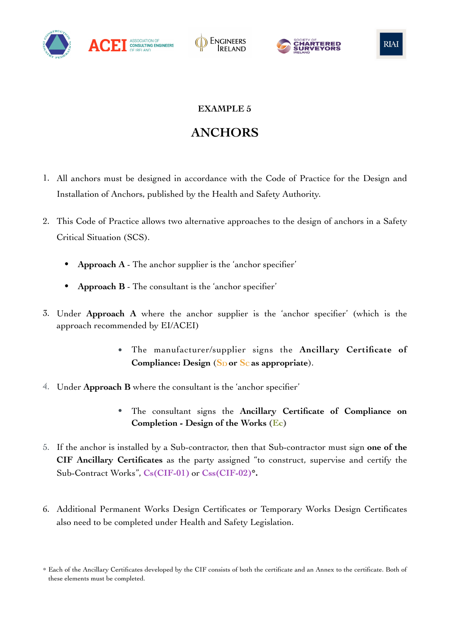







# **ANCHORS**

- 1. All anchors must be designed in accordance with the Code of Practice for the Design and Installation of Anchors, published by the Health and Safety Authority.
- 2. This Code of Practice allows two alternative approaches to the design of anchors in a Safety Critical Situation (SCS).
	- **Approach A** The anchor supplier is the 'anchor specifier'
	- **Approach B** The consultant is the 'anchor specifier'
- 3. Under **Approach A** where the anchor supplier is the 'anchor specifier' (which is the approach recommended by EI/ACEI)
	- The manufacturer/supplier signs the **Ancillary Certificate of**  Compliance: Design (S<sub>D</sub> or S<sub>C</sub> as appropriate).
- 4. Under **Approach B** where the consultant is the 'anchor specifier'
	- The consultant signs the **Ancillary Certificate of Compliance on Completion - Design of the Works (Ec)**
- 5. If the anchor is installed by a Sub-contractor, then that Sub-contractor must sign **one of the CIF Ancillary Certificates** as the party assigned "to construct, supervise and certify the Sub-Contract Works", **Cs(CIF-01)** or **Css(CIF-02)\*.**
- 6. Additional Permanent Works Design Certificates or Temporary Works Design Certificates also need to be completed under Health and Safety Legislation.

<sup>\*</sup> Each of the Ancillary Certificates developed by the CIF consists of both the certificate and an Annex to the certificate. Both of these elements must be completed.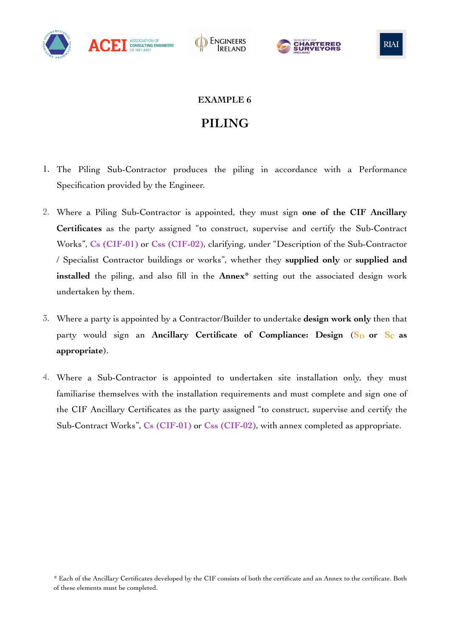







# **PILING**

- 1. The Piling Sub-Contractor produces the piling in accordance with a Performance Specification provided by the Engineer.
- 2. Where a Piling Sub-Contractor is appointed, they must sign **one of the CIF Ancillary Certificates** as the party assigned "to construct, supervise and certify the Sub-Contract Works", **Cs (CIF-01)** or **Css (CIF-02)**, clarifying, under "Description of the Sub-Contractor / Specialist Contractor buildings or works", whether they **supplied only** or **supplied and installed** the piling, and also fill in the **Annex\*** setting out the associated design work undertaken by them.
- 3. Where a party is appointed by a Contractor/Builder to undertake **design work only** then that party would sign an Ancillary Certificate of Compliance: Design (S<sub>D</sub> or S<sub>C</sub> as **appropriate**).
- 4. Where a Sub-Contractor is appointed to undertaken site installation only, they must familiarise themselves with the installation requirements and must complete and sign one of the CIF Ancillary Certificates as the party assigned "to construct, supervise and certify the Sub-Contract Works", **Cs (CIF-01)** or **Css (CIF-02)**, with annex completed as appropriate.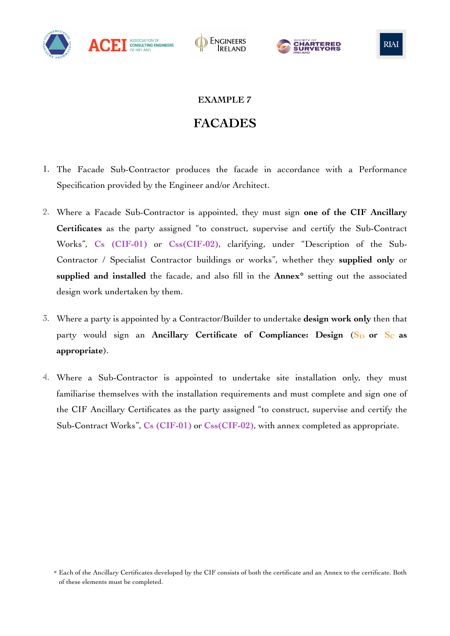







## **FACADES**

- 1. The Facade Sub-Contractor produces the facade in accordance with a Performance Specification provided by the Engineer and/or Architect.
- 2. Where a Facade Sub-Contractor is appointed, they must sign **one of the CIF Ancillary Certificates** as the party assigned "to construct, supervise and certify the Sub-Contract Works", **Cs (CIF-01)** or **Css(CIF-02)**, clarifying, under "Description of the Sub-Contractor / Specialist Contractor buildings or works", whether they **supplied only** or **supplied and installed** the facade, and also fill in the **Annex\*** setting out the associated design work undertaken by them.
- 3. Where a party is appointed by a Contractor/Builder to undertake **design work only** then that party would sign an Ancillary Certificate of Compliance: Design (S<sub>D</sub> or S<sub>C</sub> as **appropriate**).
- 4. Where a Sub-Contractor is appointed to undertake site installation only, they must familiarise themselves with the installation requirements and must complete and sign one of the CIF Ancillary Certificates as the party assigned "to construct, supervise and certify the Sub-Contract Works", **Cs (CIF-01)** or **Css(CIF-02)**, with annex completed as appropriate.

<sup>\*</sup> Each of the Ancillary Certificates developed by the CIF consists of both the certificate and an Annex to the certificate. Both of these elements must be completed.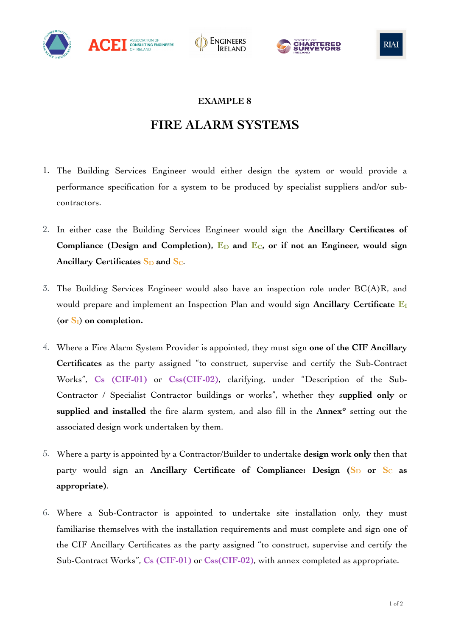







### **FIRE ALARM SYSTEMS**

- 1. The Building Services Engineer would either design the system or would provide a performance specification for a system to be produced by specialist suppliers and/or subcontractors.
- 2. In either case the Building Services Engineer would sign the **Ancillary Certificates of**  Compliance (Design and Completion),  $E_D$  and  $E_C$ , or if not an Engineer, would sign Ancillary Certificates S<sub>D</sub> and S<sub>C</sub>.
- 3. The Building Services Engineer would also have an inspection role under BC(A)R, and would prepare and implement an Inspection Plan and would sign Ancillary Certificate E<sub>I</sub> (**or SI**) **on completion.**
- 4. Where a Fire Alarm System Provider is appointed, they must sign **one of the CIF Ancillary Certificates** as the party assigned "to construct, supervise and certify the Sub-Contract Works", **Cs (CIF-01)** or **Css(CIF-02)**, clarifying, under "Description of the Sub-Contractor / Specialist Contractor buildings or works", whether they s**upplied only** or **supplied and installed** the fire alarm system, and also fill in the **Annex\*** setting out the associated design work undertaken by them.
- 5. Where a party is appointed by a Contractor/Builder to undertake **design work only** then that party would sign an Ancillary Certificate of Compliance: Design (S<sub>D</sub> or S<sub>C</sub> as **appropriate)**.
- 6. Where a Sub-Contractor is appointed to undertake site installation only, they must familiarise themselves with the installation requirements and must complete and sign one of the CIF Ancillary Certificates as the party assigned "to construct, supervise and certify the Sub-Contract Works", **Cs (CIF-01)** or **Css(CIF-02)**, with annex completed as appropriate.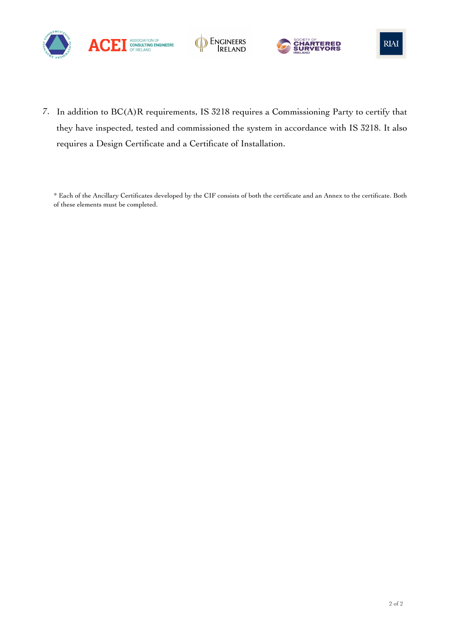







7. In addition to BC(A)R requirements, IS 3218 requires a Commissioning Party to certify that they have inspected, tested and commissioned the system in accordance with IS 3218. It also requires a Design Certificate and a Certificate of Installation.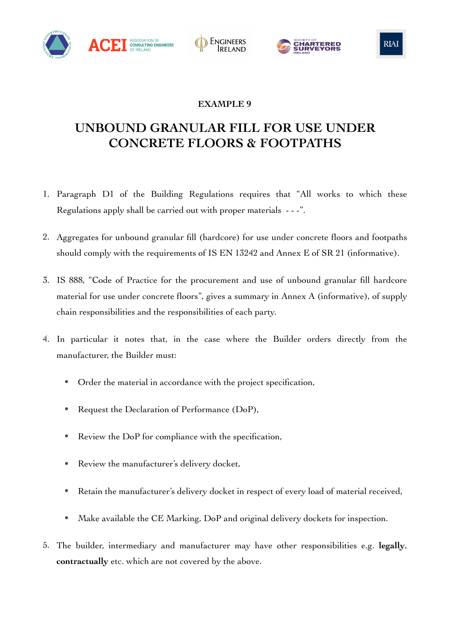







# **UNBOUND GRANULAR FILL FOR USE UNDER CONCRETE FLOORS & FOOTPATHS**

- 1. Paragraph D1 of the Building Regulations requires that "All works to which these Regulations apply shall be carried out with proper materials  $-$  -  $\cdot$ ".
- 2. Aggregates for unbound granular fill (hardcore) for use under concrete floors and footpaths should comply with the requirements of IS EN 13242 and Annex E of SR 21 (informative).
- 3. IS 888, "Code of Practice for the procurement and use of unbound granular fill hardcore material for use under concrete floors", gives a summary in Annex A (informative), of supply chain responsibilities and the responsibilities of each party.
- 4. In particular it notes that, in the case where the Builder orders directly from the manufacturer, the Builder must:
	- Order the material in accordance with the project specification,
	- Request the Declaration of Performance (DoP),
	- Review the DoP for compliance with the specification,
	- Review the manufacturer's delivery docket,
	- Retain the manufacturer's delivery docket in respect of every load of material received,
	- Make available the CE Marking, DoP and original delivery dockets for inspection.
- 5. The builder, intermediary and manufacturer may have other responsibilities e.g. **legally**, **contractually** etc. which are not covered by the above.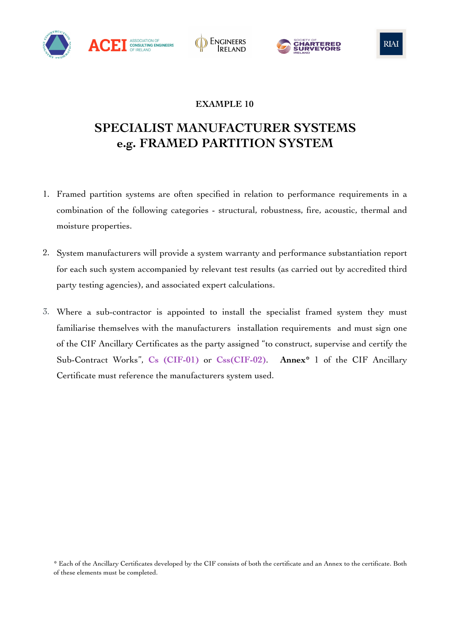







## **SPECIALIST MANUFACTURER SYSTEMS e.g. FRAMED PARTITION SYSTEM**

- 1. Framed partition systems are often specified in relation to performance requirements in a combination of the following categories - structural, robustness, fire, acoustic, thermal and moisture properties.
- 2. System manufacturers will provide a system warranty and performance substantiation report for each such system accompanied by relevant test results (as carried out by accredited third party testing agencies), and associated expert calculations.
- 3. Where a sub-contractor is appointed to install the specialist framed system they must familiarise themselves with the manufacturers installation requirements and must sign one of the CIF Ancillary Certificates as the party assigned "to construct, supervise and certify the Sub-Contract Works", **Cs (CIF-01)** or **Css(CIF-02)**. **Annex\*** 1 of the CIF Ancillary Certificate must reference the manufacturers system used.